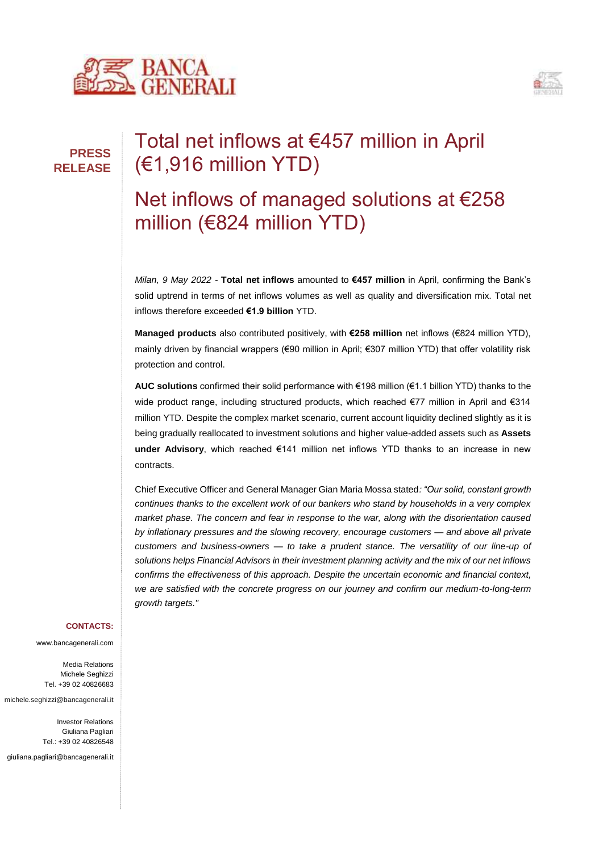



# Total net inflows at €457 million in April (€1,916 million YTD)

## Net inflows of managed solutions at €258 million (€824 million YTD)

*Milan, 9 May 2022 -* **Total net inflows** amounted to **€457 million** in April, confirming the Bank's solid uptrend in terms of net inflows volumes as well as quality and diversification mix. Total net inflows therefore exceeded **€1.9 billion** YTD.

**Managed products** also contributed positively, with **€258 million** net inflows (€824 million YTD), mainly driven by financial wrappers (€90 million in April; €307 million YTD) that offer volatility risk protection and control.

**AUC solutions** confirmed their solid performance with €198 million (€1.1 billion YTD) thanks to the wide product range, including structured products, which reached €77 million in April and €314 million YTD. Despite the complex market scenario, current account liquidity declined slightly as it is being gradually reallocated to investment solutions and higher value-added assets such as **Assets under Advisory**, which reached €141 million net inflows YTD thanks to an increase in new contracts.

Chief Executive Officer and General Manager Gian Maria Mossa stated*: "Our solid, constant growth continues thanks to the excellent work of our bankers who stand by households in a very complex market phase. The concern and fear in response to the war, along with the disorientation caused by inflationary pressures and the slowing recovery, encourage customers — and above all private customers and business-owners — to take a prudent stance. The versatility of our line-up of solutions helps Financial Advisors in their investment planning activity and the mix of our net inflows confirms the effectiveness of this approach. Despite the uncertain economic and financial context, we are satisfied with the concrete progress on our journey and confirm our medium-to-long-term growth targets."* 

#### **CONTACTS:**

www.bancagenerali.com

Media Relations Michele Seghizzi Tel. +39 02 40826683

michele.seghizzi@bancagenerali.it

Investor Relations Giuliana Pagliari Tel.: +39 02 40826548

giuliana.pagliari@bancagenerali.it